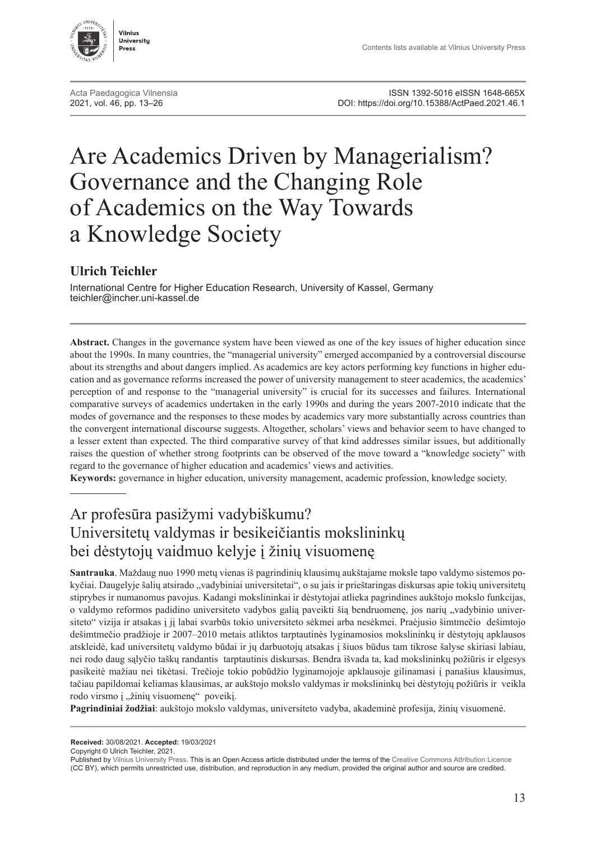



# Are Academics Driven by Managerialism? Governance and the Changing Role of Academics on the Way Towards a Knowledge Society

#### **Ulrich Teichler**

International Centre for Higher Education Research, University of Kassel, Germany [teichler@incher.uni-kassel.de](mailto:teichler%40incher.uni-kassel.de?subject=)

**Abstract.** Changes in the governance system have been viewed as one of the key issues of higher education since about the 1990s. In many countries, the "managerial university" emerged accompanied by a controversial discourse about its strengths and about dangers implied. As academics are key actors performing key functions in higher education and as governance reforms increased the power of university management to steer academics, the academics' perception of and response to the "managerial university" is crucial for its successes and failures. International comparative surveys of academics undertaken in the early 1990s and during the years 2007-2010 indicate that the modes of governance and the responses to these modes by academics vary more substantially across countries than the convergent international discourse suggests. Altogether, scholars' views and behavior seem to have changed to a lesser extent than expected. The third comparative survey of that kind addresses similar issues, but additionally raises the question of whether strong footprints can be observed of the move toward a "knowledge society" with regard to the governance of higher education and academics' views and activities.

**Keywords:** governance in higher education, university management, academic profession, knowledge society.

## Ar profesūra pasižymi vadybiškumu? Universitetų valdymas ir besikeičiantis mokslininkų bei dėstytojų vaidmuo kelyje į žinių visuomenę

**Santrauka**. Maždaug nuo 1990 metų vienas iš pagrindinių klausimų aukštajame moksle tapo valdymo sistemos pokyčiai. Daugelyje šalių atsirado "vadybiniai universitetai", o su jais ir prieštaringas diskursas apie tokių universitetų stiprybes ir numanomus pavojus. Kadangi mokslininkai ir dėstytojai atlieka pagrindines aukštojo mokslo funkcijas, o valdymo reformos padidino universiteto vadybos galią paveikti šią bendruomenę, jos narių "vadybinio universiteto" vizija ir atsakas į jį labai svarbūs tokio universiteto sėkmei arba nesėkmei. Praėjusio šimtmečio dešimtojo dešimtmečio pradžioje ir 2007–2010 metais atliktos tarptautinės lyginamosios mokslininkų ir dėstytojų apklausos atskleidė, kad universitetų valdymo būdai ir jų darbuotojų atsakas į šiuos būdus tam tikrose šalyse skiriasi labiau, nei rodo daug sąlyčio taškų randantis tarptautinis diskursas. Bendra išvada ta, kad mokslininkų požiūris ir elgesys pasikeitė mažiau nei tikėtasi. Trečioje tokio pobūdžio lyginamojoje apklausoje gilinamasi į panašius klausimus, tačiau papildomai keliamas klausimas, ar aukštojo mokslo valdymas ir mokslininkų bei dėstytojų požiūris ir veikla rodo virsmo į "žinių visuomenę" poveikį.

**Pagrindiniai žodžiai**: aukštojo mokslo valdymas, universiteto vadyba, akademinė profesija, žinių visuomenė.

**Received:** 30/08/2021. **Accepted:** 19/03/2021

Copyright © Ulrich Teichler, 2021.

Published by [Vilnius University Press.](https://www.vu.lt/leidyba/en/) This is an Open Access article distributed under the terms of the [Creative Commons Attribution Licence](https://creativecommons.org/licenses/by/4.0/) (CC BY), which permits unrestricted use, distribution, and reproduction in any medium, provided the original author and source are credited.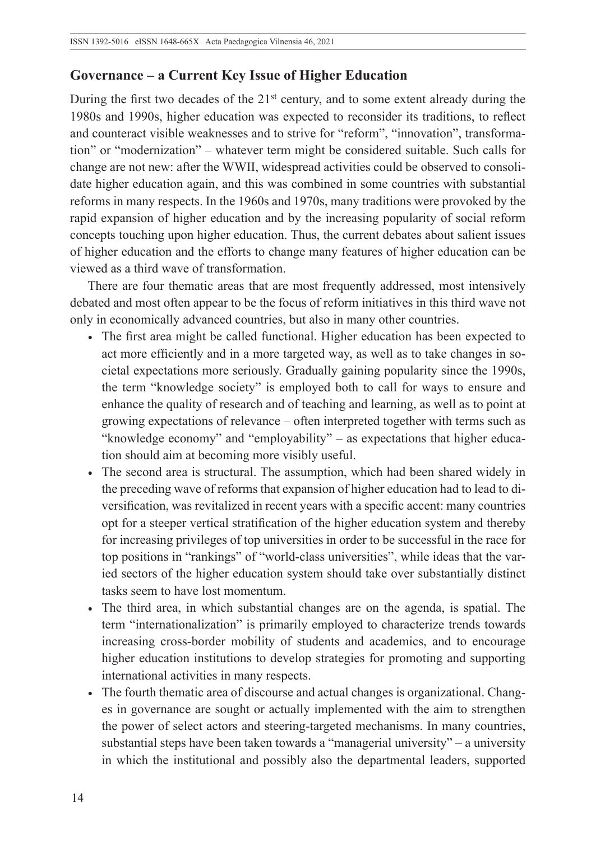#### **Governance – a Current Key Issue of Higher Education**

During the first two decades of the 21<sup>st</sup> century, and to some extent already during the 1980s and 1990s, higher education was expected to reconsider its traditions, to reflect and counteract visible weaknesses and to strive for "reform", "innovation", transformation" or "modernization" – whatever term might be considered suitable. Such calls for change are not new: after the WWII, widespread activities could be observed to consolidate higher education again, and this was combined in some countries with substantial reforms in many respects. In the 1960s and 1970s, many traditions were provoked by the rapid expansion of higher education and by the increasing popularity of social reform concepts touching upon higher education. Thus, the current debates about salient issues of higher education and the efforts to change many features of higher education can be viewed as a third wave of transformation.

There are four thematic areas that are most frequently addressed, most intensively debated and most often appear to be the focus of reform initiatives in this third wave not only in economically advanced countries, but also in many other countries.

- The first area might be called functional. Higher education has been expected to act more efficiently and in a more targeted way, as well as to take changes in societal expectations more seriously. Gradually gaining popularity since the 1990s, the term "knowledge society" is employed both to call for ways to ensure and enhance the quality of research and of teaching and learning, as well as to point at growing expectations of relevance – often interpreted together with terms such as "knowledge economy" and "employability" – as expectations that higher education should aim at becoming more visibly useful.
- The second area is structural. The assumption, which had been shared widely in the preceding wave of reforms that expansion of higher education had to lead to diversification, was revitalized in recent years with a specific accent: many countries opt for a steeper vertical stratification of the higher education system and thereby for increasing privileges of top universities in order to be successful in the race for top positions in "rankings" of "world-class universities", while ideas that the varied sectors of the higher education system should take over substantially distinct tasks seem to have lost momentum.
- The third area, in which substantial changes are on the agenda, is spatial. The term "internationalization" is primarily employed to characterize trends towards increasing cross-border mobility of students and academics, and to encourage higher education institutions to develop strategies for promoting and supporting international activities in many respects.
- The fourth thematic area of discourse and actual changes is organizational. Changes in governance are sought or actually implemented with the aim to strengthen the power of select actors and steering-targeted mechanisms. In many countries, substantial steps have been taken towards a "managerial university" – a university in which the institutional and possibly also the departmental leaders, supported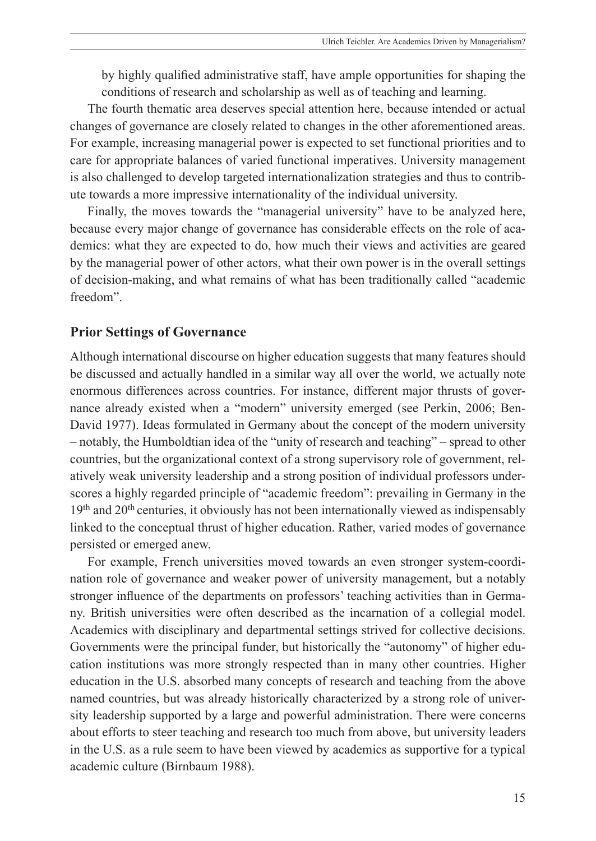by highly qualified administrative staff, have ample opportunities for shaping the conditions of research and scholarship as well as of teaching and learning.

The fourth thematic area deserves special attention here, because intended or actual changes of governance are closely related to changes in the other aforementioned areas. For example, increasing managerial power is expected to set functional priorities and to care for appropriate balances of varied functional imperatives. University management is also challenged to develop targeted internationalization strategies and thus to contribute towards a more impressive internationality of the individual university.

Finally, the moves towards the "managerial university" have to be analyzed here, because every major change of governance has considerable effects on the role of academics: what they are expected to do, how much their views and activities are geared by the managerial power of other actors, what their own power is in the overall settings of decision-making, and what remains of what has been traditionally called "academic freedom".

#### **Prior Settings of Governance**

Although international discourse on higher education suggests that many features should be discussed and actually handled in a similar way all over the world, we actually note enormous differences across countries. For instance, different major thrusts of governance already existed when a "modern" university emerged (see Perkin, 2006; Ben-David 1977). Ideas formulated in Germany about the concept of the modern university – notably, the Humboldtian idea of the "unity of research and teaching" – spread to other countries, but the organizational context of a strong supervisory role of government, relatively weak university leadership and a strong position of individual professors underscores a highly regarded principle of "academic freedom": prevailing in Germany in the 19<sup>th</sup> and 20<sup>th</sup> centuries, it obviously has not been internationally viewed as indispensably linked to the conceptual thrust of higher education. Rather, varied modes of governance persisted or emerged anew.

For example, French universities moved towards an even stronger system-coordination role of governance and weaker power of university management, but a notably stronger influence of the departments on professors' teaching activities than in Germany. British universities were often described as the incarnation of a collegial model. Academics with disciplinary and departmental settings strived for collective decisions. Governments were the principal funder, but historically the "autonomy" of higher education institutions was more strongly respected than in many other countries. Higher education in the U.S. absorbed many concepts of research and teaching from the above named countries, but was already historically characterized by a strong role of university leadership supported by a large and powerful administration. There were concerns about efforts to steer teaching and research too much from above, but university leaders in the U.S. as a rule seem to have been viewed by academics as supportive for a typical academic culture (Birnbaum 1988).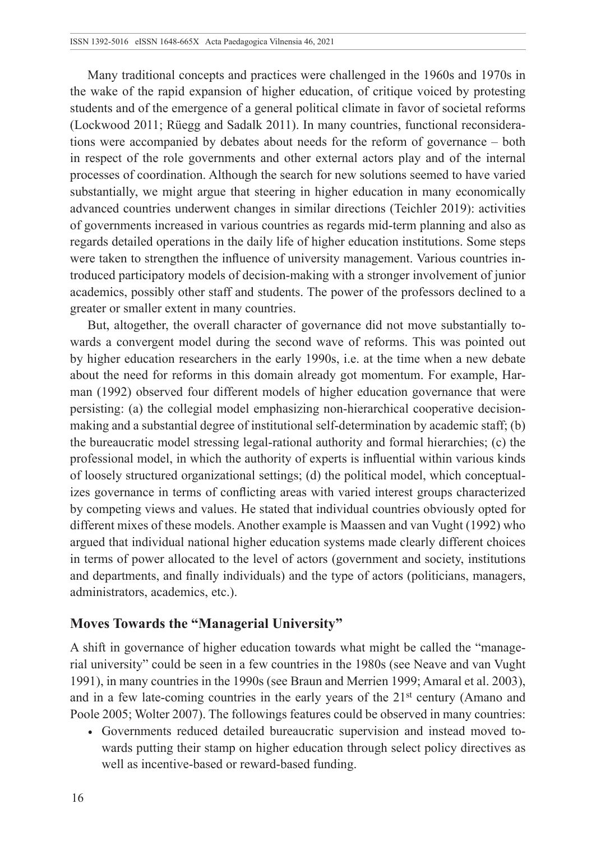Many traditional concepts and practices were challenged in the 1960s and 1970s in the wake of the rapid expansion of higher education, of critique voiced by protesting students and of the emergence of a general political climate in favor of societal reforms (Lockwood 2011; Rüegg and Sadalk 2011). In many countries, functional reconsiderations were accompanied by debates about needs for the reform of governance – both in respect of the role governments and other external actors play and of the internal processes of coordination. Although the search for new solutions seemed to have varied substantially, we might argue that steering in higher education in many economically advanced countries underwent changes in similar directions (Teichler 2019): activities of governments increased in various countries as regards mid-term planning and also as regards detailed operations in the daily life of higher education institutions. Some steps were taken to strengthen the influence of university management. Various countries introduced participatory models of decision-making with a stronger involvement of junior academics, possibly other staff and students. The power of the professors declined to a greater or smaller extent in many countries.

But, altogether, the overall character of governance did not move substantially towards a convergent model during the second wave of reforms. This was pointed out by higher education researchers in the early 1990s, i.e. at the time when a new debate about the need for reforms in this domain already got momentum. For example, Harman (1992) observed four different models of higher education governance that were persisting: (a) the collegial model emphasizing non-hierarchical cooperative decisionmaking and a substantial degree of institutional self-determination by academic staff; (b) the bureaucratic model stressing legal-rational authority and formal hierarchies; (c) the professional model, in which the authority of experts is influential within various kinds of loosely structured organizational settings; (d) the political model, which conceptualizes governance in terms of conflicting areas with varied interest groups characterized by competing views and values. He stated that individual countries obviously opted for different mixes of these models. Another example is Maassen and van Vught (1992) who argued that individual national higher education systems made clearly different choices in terms of power allocated to the level of actors (government and society, institutions and departments, and finally individuals) and the type of actors (politicians, managers, administrators, academics, etc.).

#### **Moves Towards the "Managerial University"**

A shift in governance of higher education towards what might be called the "managerial university" could be seen in a few countries in the 1980s (see Neave and van Vught 1991), in many countries in the 1990s (see Braun and Merrien 1999; Amaral et al. 2003), and in a few late-coming countries in the early years of the 21<sup>st</sup> century (Amano and Poole 2005; Wolter 2007). The followings features could be observed in many countries:

• Governments reduced detailed bureaucratic supervision and instead moved towards putting their stamp on higher education through select policy directives as well as incentive-based or reward-based funding.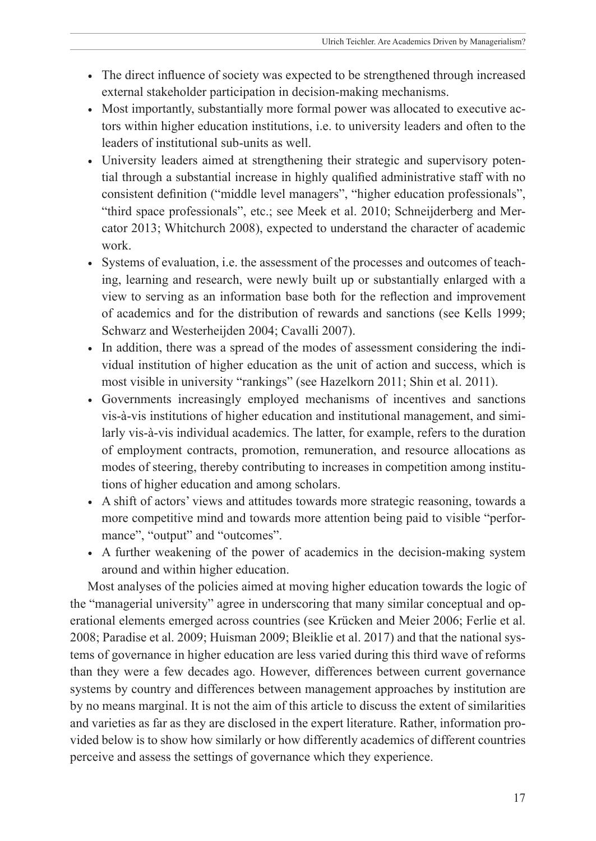- The direct influence of society was expected to be strengthened through increased external stakeholder participation in decision-making mechanisms.
- Most importantly, substantially more formal power was allocated to executive actors within higher education institutions, i.e. to university leaders and often to the leaders of institutional sub-units as well.
- University leaders aimed at strengthening their strategic and supervisory potential through a substantial increase in highly qualified administrative staff with no consistent definition ("middle level managers", "higher education professionals", "third space professionals", etc.; see Meek et al. 2010; Schneijderberg and Mercator 2013; Whitchurch 2008), expected to understand the character of academic work.
- Systems of evaluation, i.e. the assessment of the processes and outcomes of teaching, learning and research, were newly built up or substantially enlarged with a view to serving as an information base both for the reflection and improvement of academics and for the distribution of rewards and sanctions (see Kells 1999; Schwarz and Westerheijden 2004; Cavalli 2007).
- In addition, there was a spread of the modes of assessment considering the individual institution of higher education as the unit of action and success, which is most visible in university "rankings" (see Hazelkorn 2011; Shin et al. 2011).
- Governments increasingly employed mechanisms of incentives and sanctions vis-à-vis institutions of higher education and institutional management, and similarly vis-à-vis individual academics. The latter, for example, refers to the duration of employment contracts, promotion, remuneration, and resource allocations as modes of steering, thereby contributing to increases in competition among institutions of higher education and among scholars.
- A shift of actors' views and attitudes towards more strategic reasoning, towards a more competitive mind and towards more attention being paid to visible "performance", "output" and "outcomes".
- A further weakening of the power of academics in the decision-making system around and within higher education.

Most analyses of the policies aimed at moving higher education towards the logic of the "managerial university" agree in underscoring that many similar conceptual and operational elements emerged across countries (see Krücken and Meier 2006; Ferlie et al. 2008; Paradise et al. 2009; Huisman 2009; Bleiklie et al. 2017) and that the national systems of governance in higher education are less varied during this third wave of reforms than they were a few decades ago. However, differences between current governance systems by country and differences between management approaches by institution are by no means marginal. It is not the aim of this article to discuss the extent of similarities and varieties as far as they are disclosed in the expert literature. Rather, information provided below is to show how similarly or how differently academics of different countries perceive and assess the settings of governance which they experience.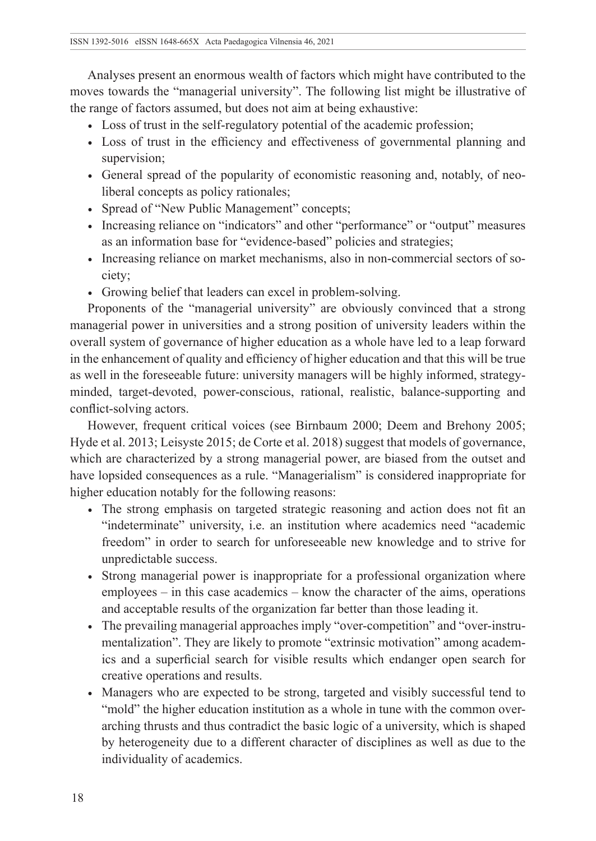Analyses present an enormous wealth of factors which might have contributed to the moves towards the "managerial university". The following list might be illustrative of the range of factors assumed, but does not aim at being exhaustive:

- Loss of trust in the self-regulatory potential of the academic profession;
- Loss of trust in the efficiency and effectiveness of governmental planning and supervision;
- General spread of the popularity of economistic reasoning and, notably, of neoliberal concepts as policy rationales;
- Spread of "New Public Management" concepts;
- Increasing reliance on "indicators" and other "performance" or "output" measures as an information base for "evidence-based" policies and strategies;
- Increasing reliance on market mechanisms, also in non-commercial sectors of society;
- Growing belief that leaders can excel in problem-solving.

Proponents of the "managerial university" are obviously convinced that a strong managerial power in universities and a strong position of university leaders within the overall system of governance of higher education as a whole have led to a leap forward in the enhancement of quality and efficiency of higher education and that this will be true as well in the foreseeable future: university managers will be highly informed, strategyminded, target-devoted, power-conscious, rational, realistic, balance-supporting and conflict-solving actors.

However, frequent critical voices (see Birnbaum 2000; Deem and Brehony 2005; Hyde et al. 2013; Leisyste 2015; de Corte et al. 2018) suggest that models of governance, which are characterized by a strong managerial power, are biased from the outset and have lopsided consequences as a rule. "Managerialism" is considered inappropriate for higher education notably for the following reasons:

- The strong emphasis on targeted strategic reasoning and action does not fit an "indeterminate" university, i.e. an institution where academics need "academic freedom" in order to search for unforeseeable new knowledge and to strive for unpredictable success.
- Strong managerial power is inappropriate for a professional organization where employees – in this case academics – know the character of the aims, operations and acceptable results of the organization far better than those leading it.
- The prevailing managerial approaches imply "over-competition" and "over-instrumentalization". They are likely to promote "extrinsic motivation" among academics and a superficial search for visible results which endanger open search for creative operations and results.
- Managers who are expected to be strong, targeted and visibly successful tend to "mold" the higher education institution as a whole in tune with the common overarching thrusts and thus contradict the basic logic of a university, which is shaped by heterogeneity due to a different character of disciplines as well as due to the individuality of academics.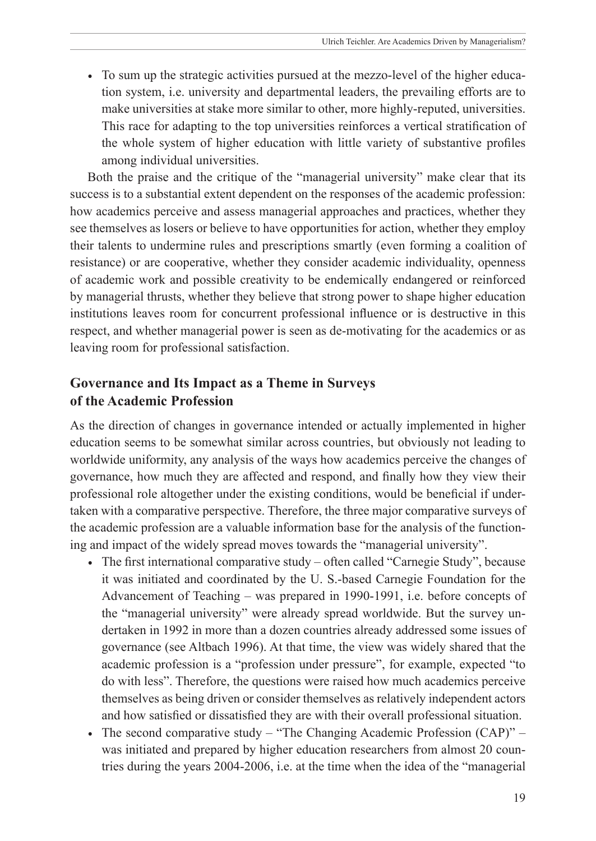• To sum up the strategic activities pursued at the mezzo-level of the higher education system, i.e. university and departmental leaders, the prevailing efforts are to make universities at stake more similar to other, more highly-reputed, universities. This race for adapting to the top universities reinforces a vertical stratification of the whole system of higher education with little variety of substantive profiles among individual universities.

Both the praise and the critique of the "managerial university" make clear that its success is to a substantial extent dependent on the responses of the academic profession: how academics perceive and assess managerial approaches and practices, whether they see themselves as losers or believe to have opportunities for action, whether they employ their talents to undermine rules and prescriptions smartly (even forming a coalition of resistance) or are cooperative, whether they consider academic individuality, openness of academic work and possible creativity to be endemically endangered or reinforced by managerial thrusts, whether they believe that strong power to shape higher education institutions leaves room for concurrent professional influence or is destructive in this respect, and whether managerial power is seen as de-motivating for the academics or as leaving room for professional satisfaction.

## **Governance and Its Impact as a Theme in Surveys of the Academic Profession**

As the direction of changes in governance intended or actually implemented in higher education seems to be somewhat similar across countries, but obviously not leading to worldwide uniformity, any analysis of the ways how academics perceive the changes of governance, how much they are affected and respond, and finally how they view their professional role altogether under the existing conditions, would be beneficial if undertaken with a comparative perspective. Therefore, the three major comparative surveys of the academic profession are a valuable information base for the analysis of the functioning and impact of the widely spread moves towards the "managerial university".

- The first international comparative study often called "Carnegie Study", because it was initiated and coordinated by the U. S.-based Carnegie Foundation for the Advancement of Teaching – was prepared in 1990-1991, i.e. before concepts of the "managerial university" were already spread worldwide. But the survey undertaken in 1992 in more than a dozen countries already addressed some issues of governance (see Altbach 1996). At that time, the view was widely shared that the academic profession is a "profession under pressure", for example, expected "to do with less". Therefore, the questions were raised how much academics perceive themselves as being driven or consider themselves as relatively independent actors and how satisfied or dissatisfied they are with their overall professional situation.
- The second comparative study "The Changing Academic Profession (CAP)" was initiated and prepared by higher education researchers from almost 20 countries during the years 2004-2006, i.e. at the time when the idea of the "managerial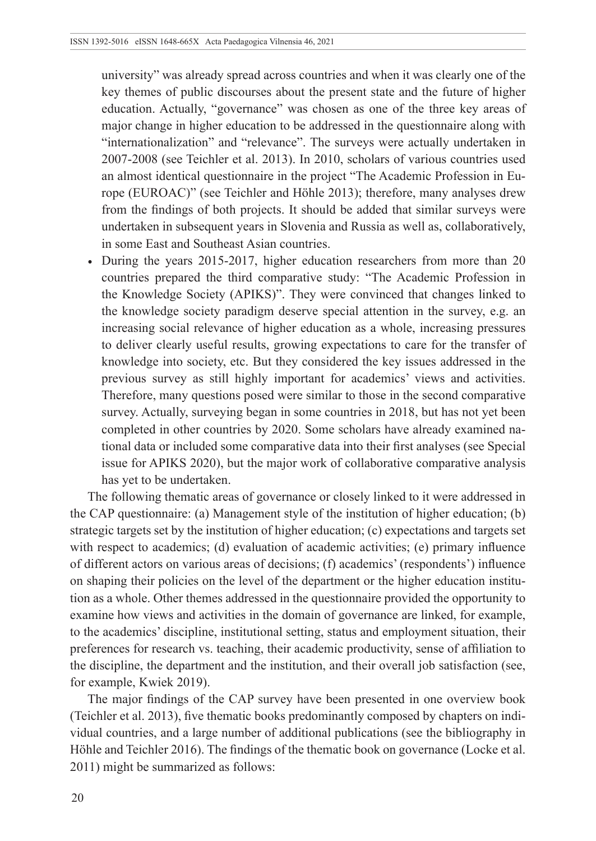university" was already spread across countries and when it was clearly one of the key themes of public discourses about the present state and the future of higher education. Actually, "governance" was chosen as one of the three key areas of major change in higher education to be addressed in the questionnaire along with "internationalization" and "relevance". The surveys were actually undertaken in 2007-2008 (see Teichler et al. 2013). In 2010, scholars of various countries used an almost identical questionnaire in the project "The Academic Profession in Europe (EUROAC)" (see Teichler and Höhle 2013); therefore, many analyses drew from the findings of both projects. It should be added that similar surveys were undertaken in subsequent years in Slovenia and Russia as well as, collaboratively, in some East and Southeast Asian countries.

• During the years 2015-2017, higher education researchers from more than 20 countries prepared the third comparative study: "The Academic Profession in the Knowledge Society (APIKS)". They were convinced that changes linked to the knowledge society paradigm deserve special attention in the survey, e.g. an increasing social relevance of higher education as a whole, increasing pressures to deliver clearly useful results, growing expectations to care for the transfer of knowledge into society, etc. But they considered the key issues addressed in the previous survey as still highly important for academics' views and activities. Therefore, many questions posed were similar to those in the second comparative survey. Actually, surveying began in some countries in 2018, but has not yet been completed in other countries by 2020. Some scholars have already examined national data or included some comparative data into their first analyses (see Special issue for APIKS 2020), but the major work of collaborative comparative analysis has yet to be undertaken.

The following thematic areas of governance or closely linked to it were addressed in the CAP questionnaire: (a) Management style of the institution of higher education; (b) strategic targets set by the institution of higher education; (c) expectations and targets set with respect to academics; (d) evaluation of academic activities; (e) primary influence of different actors on various areas of decisions; (f) academics' (respondents') influence on shaping their policies on the level of the department or the higher education institution as a whole. Other themes addressed in the questionnaire provided the opportunity to examine how views and activities in the domain of governance are linked, for example, to the academics' discipline, institutional setting, status and employment situation, their preferences for research vs. teaching, their academic productivity, sense of affiliation to the discipline, the department and the institution, and their overall job satisfaction (see, for example, Kwiek 2019).

The major findings of the CAP survey have been presented in one overview book (Teichler et al. 2013), five thematic books predominantly composed by chapters on individual countries, and a large number of additional publications (see the bibliography in Höhle and Teichler 2016). The findings of the thematic book on governance (Locke et al. 2011) might be summarized as follows: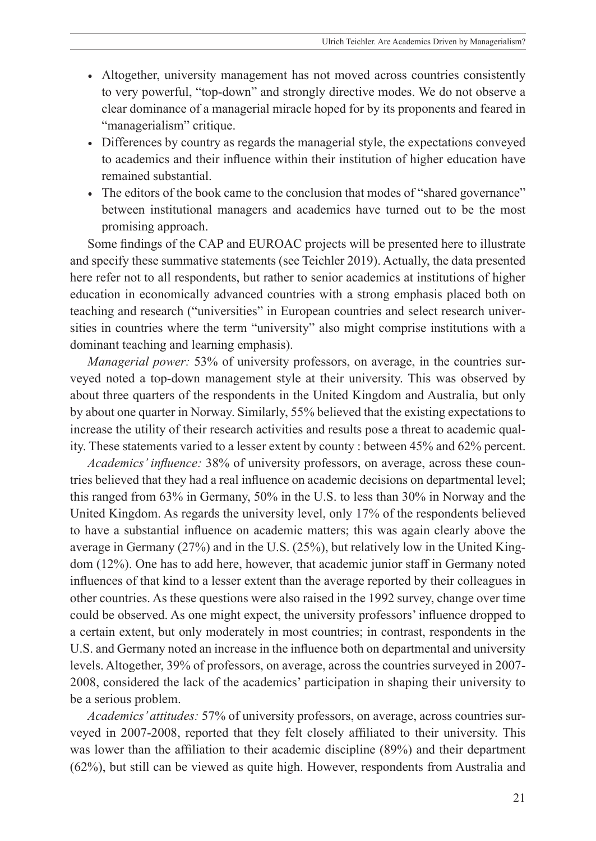- Altogether, university management has not moved across countries consistently to very powerful, "top-down" and strongly directive modes. We do not observe a clear dominance of a managerial miracle hoped for by its proponents and feared in "managerialism" critique.
- Differences by country as regards the managerial style, the expectations conveyed to academics and their influence within their institution of higher education have remained substantial.
- The editors of the book came to the conclusion that modes of "shared governance" between institutional managers and academics have turned out to be the most promising approach.

Some findings of the CAP and EUROAC projects will be presented here to illustrate and specify these summative statements (see Teichler 2019). Actually, the data presented here refer not to all respondents, but rather to senior academics at institutions of higher education in economically advanced countries with a strong emphasis placed both on teaching and research ("universities" in European countries and select research universities in countries where the term "university" also might comprise institutions with a dominant teaching and learning emphasis).

*Managerial power:* 53% of university professors, on average, in the countries surveyed noted a top-down management style at their university. This was observed by about three quarters of the respondents in the United Kingdom and Australia, but only by about one quarter in Norway. Similarly, 55% believed that the existing expectations to increase the utility of their research activities and results pose a threat to academic quality. These statements varied to a lesser extent by county : between 45% and 62% percent.

*Academics' influence:* 38% of university professors, on average, across these countries believed that they had a real influence on academic decisions on departmental level; this ranged from 63% in Germany, 50% in the U.S. to less than 30% in Norway and the United Kingdom. As regards the university level, only 17% of the respondents believed to have a substantial influence on academic matters; this was again clearly above the average in Germany (27%) and in the U.S. (25%), but relatively low in the United Kingdom (12%). One has to add here, however, that academic junior staff in Germany noted influences of that kind to a lesser extent than the average reported by their colleagues in other countries. As these questions were also raised in the 1992 survey, change over time could be observed. As one might expect, the university professors' influence dropped to a certain extent, but only moderately in most countries; in contrast, respondents in the U.S. and Germany noted an increase in the influence both on departmental and university levels. Altogether, 39% of professors, on average, across the countries surveyed in 2007- 2008, considered the lack of the academics' participation in shaping their university to be a serious problem.

*Academics' attitudes:* 57% of university professors, on average, across countries surveyed in 2007-2008, reported that they felt closely affiliated to their university. This was lower than the affiliation to their academic discipline (89%) and their department (62%), but still can be viewed as quite high. However, respondents from Australia and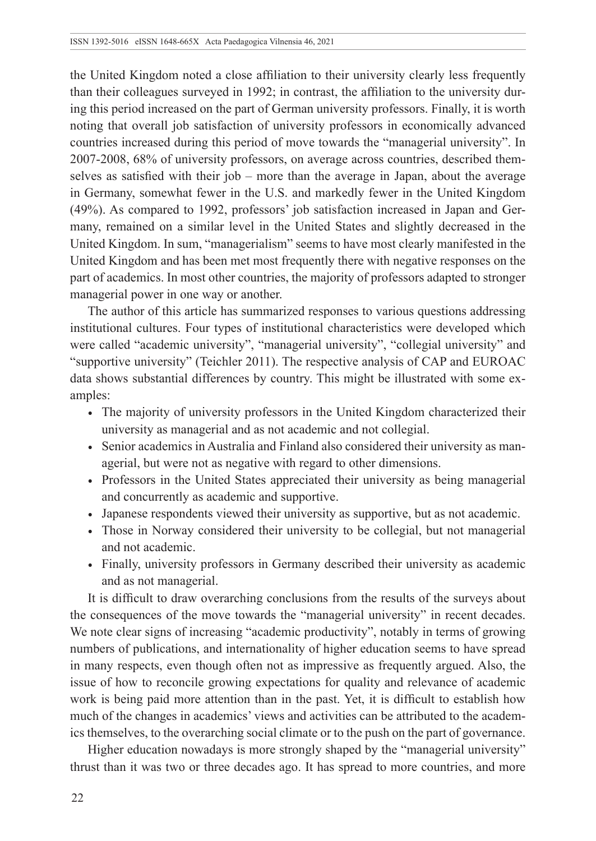the United Kingdom noted a close affiliation to their university clearly less frequently than their colleagues surveyed in 1992; in contrast, the affiliation to the university during this period increased on the part of German university professors. Finally, it is worth noting that overall job satisfaction of university professors in economically advanced countries increased during this period of move towards the "managerial university". In 2007-2008, 68% of university professors, on average across countries, described themselves as satisfied with their job – more than the average in Japan, about the average in Germany, somewhat fewer in the U.S. and markedly fewer in the United Kingdom (49%). As compared to 1992, professors' job satisfaction increased in Japan and Germany, remained on a similar level in the United States and slightly decreased in the United Kingdom. In sum, "managerialism" seems to have most clearly manifested in the United Kingdom and has been met most frequently there with negative responses on the part of academics. In most other countries, the majority of professors adapted to stronger managerial power in one way or another.

The author of this article has summarized responses to various questions addressing institutional cultures. Four types of institutional characteristics were developed which were called "academic university", "managerial university", "collegial university" and "supportive university" (Teichler 2011). The respective analysis of CAP and EUROAC data shows substantial differences by country. This might be illustrated with some examples:

- The majority of university professors in the United Kingdom characterized their university as managerial and as not academic and not collegial.
- Senior academics in Australia and Finland also considered their university as managerial, but were not as negative with regard to other dimensions.
- Professors in the United States appreciated their university as being managerial and concurrently as academic and supportive.
- Japanese respondents viewed their university as supportive, but as not academic.
- Those in Norway considered their university to be collegial, but not managerial and not academic.
- Finally, university professors in Germany described their university as academic and as not managerial.

It is difficult to draw overarching conclusions from the results of the surveys about the consequences of the move towards the "managerial university" in recent decades. We note clear signs of increasing "academic productivity", notably in terms of growing numbers of publications, and internationality of higher education seems to have spread in many respects, even though often not as impressive as frequently argued. Also, the issue of how to reconcile growing expectations for quality and relevance of academic work is being paid more attention than in the past. Yet, it is difficult to establish how much of the changes in academics' views and activities can be attributed to the academics themselves, to the overarching social climate or to the push on the part of governance.

Higher education nowadays is more strongly shaped by the "managerial university" thrust than it was two or three decades ago. It has spread to more countries, and more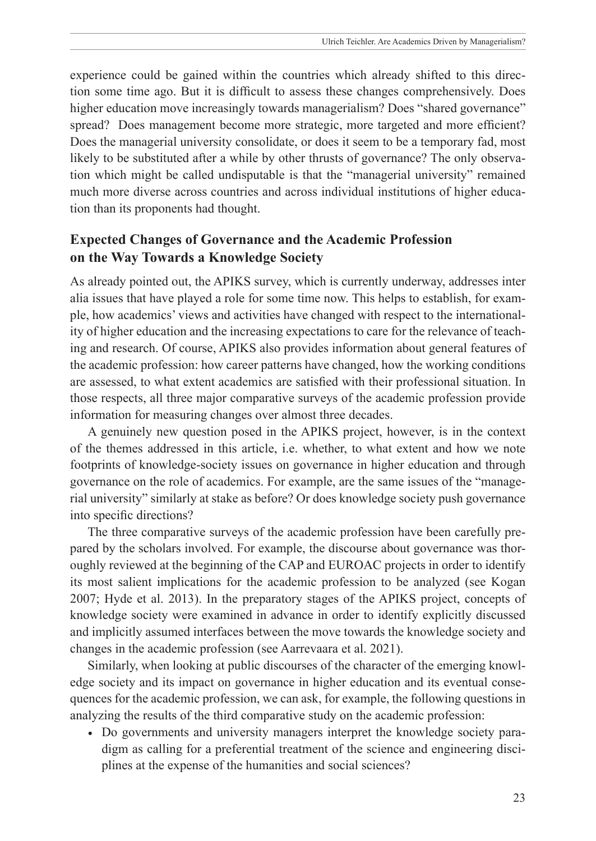experience could be gained within the countries which already shifted to this direction some time ago. But it is difficult to assess these changes comprehensively. Does higher education move increasingly towards managerialism? Does "shared governance" spread? Does management become more strategic, more targeted and more efficient? Does the managerial university consolidate, or does it seem to be a temporary fad, most likely to be substituted after a while by other thrusts of governance? The only observation which might be called undisputable is that the "managerial university" remained much more diverse across countries and across individual institutions of higher education than its proponents had thought.

### **Expected Changes of Governance and the Academic Profession on the Way Towards a Knowledge Society**

As already pointed out, the APIKS survey, which is currently underway, addresses inter alia issues that have played a role for some time now. This helps to establish, for example, how academics' views and activities have changed with respect to the internationality of higher education and the increasing expectations to care for the relevance of teaching and research. Of course, APIKS also provides information about general features of the academic profession: how career patterns have changed, how the working conditions are assessed, to what extent academics are satisfied with their professional situation. In those respects, all three major comparative surveys of the academic profession provide information for measuring changes over almost three decades.

A genuinely new question posed in the APIKS project, however, is in the context of the themes addressed in this article, i.e. whether, to what extent and how we note footprints of knowledge-society issues on governance in higher education and through governance on the role of academics. For example, are the same issues of the "managerial university" similarly at stake as before? Or does knowledge society push governance into specific directions?

The three comparative surveys of the academic profession have been carefully prepared by the scholars involved. For example, the discourse about governance was thoroughly reviewed at the beginning of the CAP and EUROAC projects in order to identify its most salient implications for the academic profession to be analyzed (see Kogan 2007; Hyde et al. 2013). In the preparatory stages of the APIKS project, concepts of knowledge society were examined in advance in order to identify explicitly discussed and implicitly assumed interfaces between the move towards the knowledge society and changes in the academic profession (see Aarrevaara et al. 2021).

Similarly, when looking at public discourses of the character of the emerging knowledge society and its impact on governance in higher education and its eventual consequences for the academic profession, we can ask, for example, the following questions in analyzing the results of the third comparative study on the academic profession:

• Do governments and university managers interpret the knowledge society paradigm as calling for a preferential treatment of the science and engineering disciplines at the expense of the humanities and social sciences?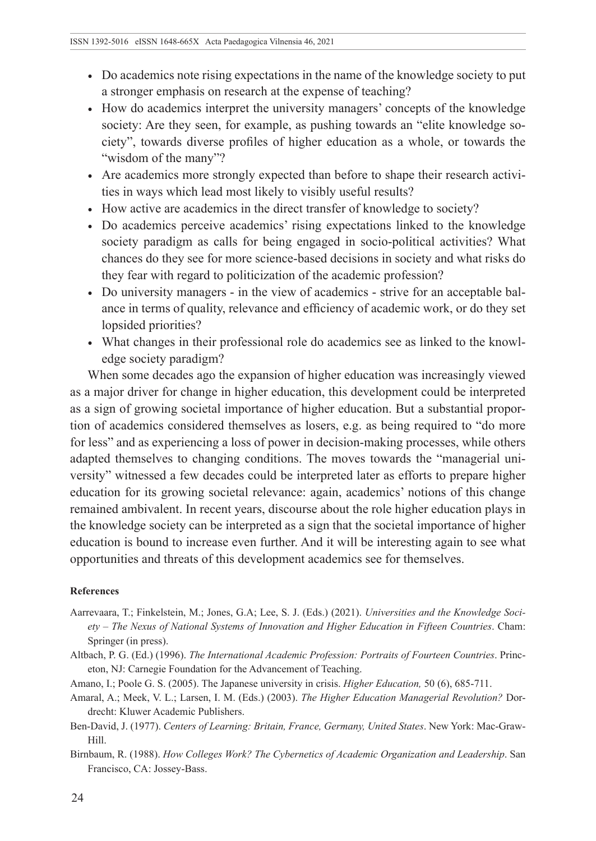- Do academics note rising expectations in the name of the knowledge society to put a stronger emphasis on research at the expense of teaching?
- How do academics interpret the university managers' concepts of the knowledge society: Are they seen, for example, as pushing towards an "elite knowledge society", towards diverse profiles of higher education as a whole, or towards the "wisdom of the many"?
- Are academics more strongly expected than before to shape their research activities in ways which lead most likely to visibly useful results?
- How active are academics in the direct transfer of knowledge to society?
- Do academics perceive academics' rising expectations linked to the knowledge society paradigm as calls for being engaged in socio-political activities? What chances do they see for more science-based decisions in society and what risks do they fear with regard to politicization of the academic profession?
- Do university managers in the view of academics strive for an acceptable balance in terms of quality, relevance and efficiency of academic work, or do they set lopsided priorities?
- What changes in their professional role do academics see as linked to the knowledge society paradigm?

When some decades ago the expansion of higher education was increasingly viewed as a major driver for change in higher education, this development could be interpreted as a sign of growing societal importance of higher education. But a substantial proportion of academics considered themselves as losers, e.g. as being required to "do more for less" and as experiencing a loss of power in decision-making processes, while others adapted themselves to changing conditions. The moves towards the "managerial university" witnessed a few decades could be interpreted later as efforts to prepare higher education for its growing societal relevance: again, academics' notions of this change remained ambivalent. In recent years, discourse about the role higher education plays in the knowledge society can be interpreted as a sign that the societal importance of higher education is bound to increase even further. And it will be interesting again to see what opportunities and threats of this development academics see for themselves.

#### **References**

- Aarrevaara, T.; Finkelstein, M.; Jones, G.A; Lee, S. J. (Eds.) (2021). *Universities and the Knowledge Society – The Nexus of National Systems of Innovation and Higher Education in Fifteen Countries*. Cham: Springer (in press).
- Altbach, P. G. (Ed.) (1996). *The International Academic Profession: Portraits of Fourteen Countries*. Princeton, NJ: Carnegie Foundation for the Advancement of Teaching.
- Amano, I.; Poole G. S. (2005). The Japanese university in crisis. *Higher Education,* 50 (6), 685-711.
- Amaral, A.; Meek, V. L.; Larsen, I. M. (Eds.) (2003). *The Higher Education Managerial Revolution?* Dordrecht: Kluwer Academic Publishers.
- Ben-David, J. (1977). *Centers of Learning: Britain, France, Germany, United States*. New York: Mac-Graw-Hill.
- Birnbaum, R. (1988). *How Colleges Work? The Cybernetics of Academic Organization and Leadership*. San Francisco, CA: Jossey-Bass.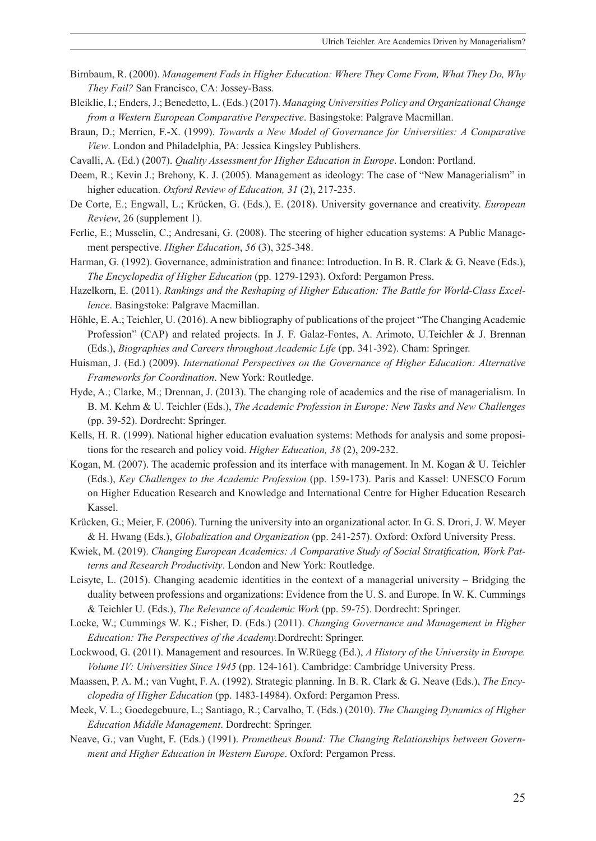- Birnbaum, R. (2000). *Management Fads in Higher Education: Where They Come From, What They Do, Why They Fail?* San Francisco, CA: Jossey-Bass.
- Bleiklie, I.; Enders, J.; Benedetto, L. (Eds.) (2017). *Managing Universities Policy and Organizational Change from a Western European Comparative Perspective*. Basingstoke: Palgrave Macmillan.
- Braun, D.; Merrien, F.-X. (1999). *Towards a New Model of Governance for Universities: A Comparative View*. London and Philadelphia, PA: Jessica Kingsley Publishers.
- Cavalli, A. (Ed.) (2007). *Quality Assessment for Higher Education in Europe*. London: Portland.
- Deem, R.; Kevin J.; Brehony, K. J. (2005). Management as ideology: The case of "New Managerialism" in higher education. *Oxford Review of Education, 31* (2), 217-235.
- De Corte, E.; Engwall, L.; Krücken, G. (Eds.), E. (2018). University governance and creativity. *European Review*, 26 (supplement 1).
- Ferlie, E.; Musselin, C.; Andresani, G. (2008). The steering of higher education systems: A Public Management perspective. *Higher Education*, *56* (3), 325-348.
- Harman, G. (1992). Governance, administration and finance: Introduction. In B. R. Clark & G. Neave (Eds.), *The Encyclopedia of Higher Education* (pp. 1279-1293). Oxford: Pergamon Press.
- Hazelkorn, E. (2011). *Rankings and the Reshaping of Higher Education: The Battle for World-Class Excellence*. Basingstoke: Palgrave Macmillan.
- Höhle, E. A.; Teichler, U. (2016). A new bibliography of publications of the project "The Changing Academic Profession" (CAP) and related projects. In J. F. Galaz-Fontes, A. Arimoto, U.Teichler & J. Brennan (Eds.), *Biographies and Careers throughout Academic Life* (pp. 341-392). Cham: Springer.
- Huisman, J. (Ed.) (2009). *International Perspectives on the Governance of Higher Education: Alternative Frameworks for Coordination*. New York: Routledge.
- Hyde, A.; Clarke, M.; Drennan, J. (2013). The changing role of academics and the rise of managerialism. In B. M. Kehm & U. Teichler (Eds.), *The Academic Profession in Europe: New Tasks and New Challenges*  (pp. 39-52). Dordrecht: Springer.
- Kells, H. R. (1999). National higher education evaluation systems: Methods for analysis and some propositions for the research and policy void. *Higher Education, 38* (2), 209-232.
- Kogan, M. (2007). The academic profession and its interface with management. In M. Kogan & U. Teichler (Eds.), *Key Challenges to the Academic Profession* (pp. 159-173). Paris and Kassel: UNESCO Forum on Higher Education Research and Knowledge and International Centre for Higher Education Research Kassel.
- Krücken, G.; Meier, F. (2006). Turning the university into an organizational actor. In G. S. Drori, J. W. Meyer & H. Hwang (Eds.), *Globalization and Organization* (pp. 241-257). Oxford: Oxford University Press.
- Kwiek, M. (2019). *Changing European Academics: A Comparative Study of Social Stratification, Work Patterns and Research Productivity*. London and New York: Routledge.
- Leisyte, L. (2015). Changing academic identities in the context of a managerial university Bridging the duality between professions and organizations: Evidence from the U. S. and Europe. In W. K. Cummings & Teichler U. (Eds.), *The Relevance of Academic Work* (pp. 59-75). Dordrecht: Springer.
- Locke, W.; Cummings W. K.; Fisher, D. (Eds.) (2011). *Changing Governance and Management in Higher Education: The Perspectives of the Academy.*Dordrecht: Springer.
- Lockwood, G. (2011). Management and resources. In W.Rüegg (Ed.), *A History of the University in Europe. Volume IV: Universities Since 1945* (pp. 124-161). Cambridge: Cambridge University Press.
- Maassen, P. A. M.; van Vught, F. A. (1992). Strategic planning. In B. R. Clark & G. Neave (Eds.), *The Encyclopedia of Higher Education* (pp. 1483-14984). Oxford: Pergamon Press.
- Meek, V. L.; Goedegebuure, L.; Santiago, R.; Carvalho, T. (Eds.) (2010). *The Changing Dynamics of Higher Education Middle Management*. Dordrecht: Springer.
- Neave, G.; van Vught, F. (Eds.) (1991). *Prometheus Bound: The Changing Relationships between Government and Higher Education in Western Europe*. Oxford: Pergamon Press.